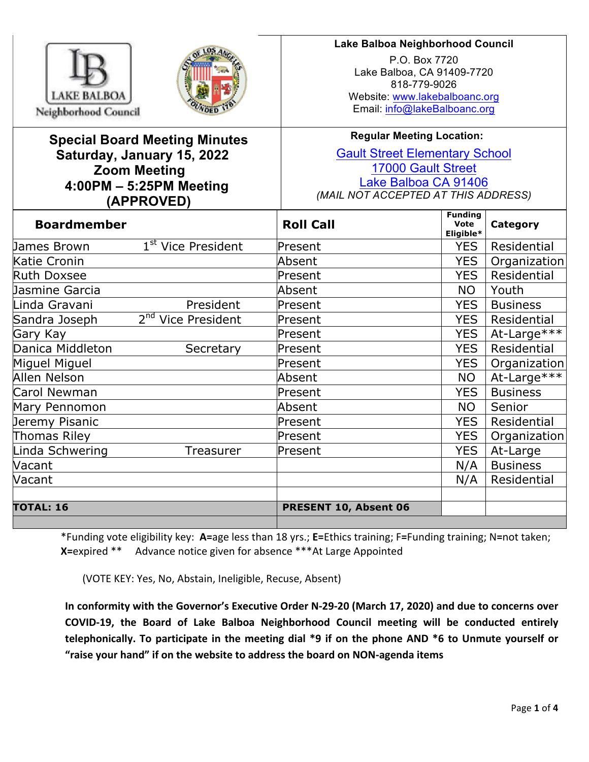



## **Lake Balboa Neighborhood Council**

P.O. Box 7720 Lake Balboa, CA 91409-7720 818-779-9026 Website: www.lakebalboanc.org Email: info@lakeBalboanc.org

# **Special Board Meeting Minutes Saturday, January 15, 2022 Zoom Meeting 4:00PM – 5:25PM Meeting (APPROVED)**

# **Regular Meeting Location:**

Gault Street Elementary School 17000 Gault Street Lake Balboa CA 91406 *(MAIL NOT ACCEPTED AT THIS ADDRESS)*

| <b>Boardmember</b> |                                | <b>Roll Call</b>      | <b>Funding</b><br>Vote<br>Eligible* | Category        |
|--------------------|--------------------------------|-----------------------|-------------------------------------|-----------------|
| James Brown        | 1 <sup>st</sup> Vice President | Present               | <b>YES</b>                          | Residential     |
| Katie Cronin       |                                | Absent                | <b>YES</b>                          | Organization    |
| Ruth Doxsee        |                                | Present               | <b>YES</b>                          | Residential     |
| Jasmine Garcia     |                                | Absent                | NO.                                 | Youth           |
| Linda Gravani      | President                      | Present               | <b>YES</b>                          | <b>Business</b> |
| Sandra Joseph      | 2 <sup>nd</sup> Vice President | Present               | <b>YES</b>                          | Residential     |
| Gary Kay           |                                | Present               | <b>YES</b>                          | At-Large***     |
| Danica Middleton   | Secretary                      | Present               | <b>YES</b>                          | Residential     |
| Miguel Miguel      |                                | Present               | <b>YES</b>                          | Organization    |
| Allen Nelson       |                                | Absent                | <b>NO</b>                           | At-Large***     |
| Carol Newman       |                                | Present               | <b>YES</b>                          | <b>Business</b> |
| Mary Pennomon      |                                | Absent                | <b>NO</b>                           | Senior          |
| Jeremy Pisanic     |                                | Present               | <b>YES</b>                          | Residential     |
| Thomas Riley       |                                | Present               | <b>YES</b>                          | Organization    |
| Linda Schwering    | Treasurer                      | Present               | <b>YES</b>                          | At-Large        |
| Vacant             |                                |                       | N/A                                 | <b>Business</b> |
| Vacant             |                                |                       | N/A                                 | Residential     |
|                    |                                |                       |                                     |                 |
| <b>TOTAL: 16</b>   |                                | PRESENT 10, Absent 06 |                                     |                 |
|                    |                                |                       |                                     |                 |

\*Funding vote eligibility key: **A=**age less than 18 yrs.; **E=**Ethics training; F**=**Funding training; N**=**not taken; **X**=expired \*\* Advance notice given for absence \*\*\*At Large Appointed

(VOTE KEY: Yes, No, Abstain, Ineligible, Recuse, Absent)

In conformity with the Governor's Executive Order N-29-20 (March 17, 2020) and due to concerns over COVID-19, the Board of Lake Balboa Neighborhood Council meeting will be conducted entirely telephonically. To participate in the meeting dial \*9 if on the phone AND \*6 to Unmute yourself or "raise your hand" if on the website to address the board on NON-agenda items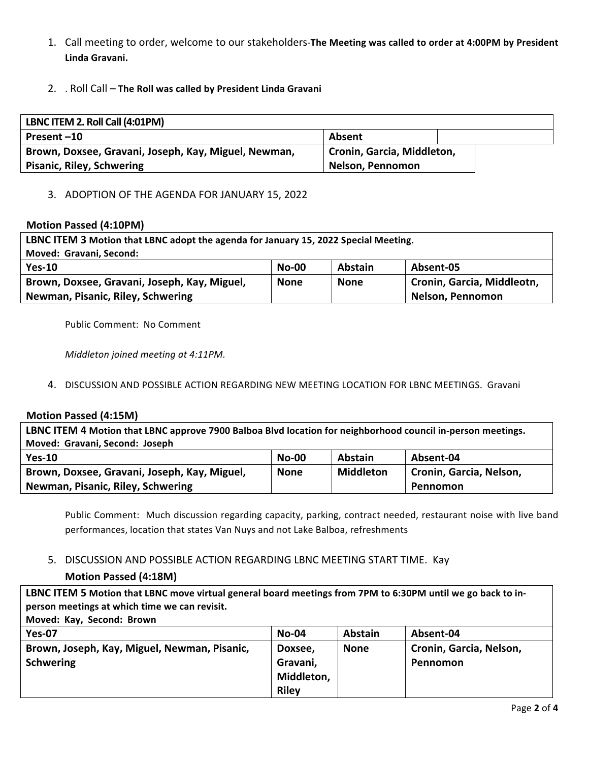- 1. Call meeting to order, welcome to our stakeholders-The Meeting was called to order at 4:00PM by President **Linda Gravani.**
- 2. . Roll Call The Roll was called by President Linda Gravani

| LBNC ITEM 2. Roll Call (4:01PM)                      |                            |  |  |  |
|------------------------------------------------------|----------------------------|--|--|--|
| Present-10                                           | Absent                     |  |  |  |
| Brown, Doxsee, Gravani, Joseph, Kay, Miguel, Newman, | Cronin, Garcia, Middleton, |  |  |  |
| <b>Pisanic, Riley, Schwering</b>                     | Nelson, Pennomon           |  |  |  |

### 3. ADOPTION OF THE AGENDA FOR JANUARY 15, 2022

#### **Motion Passed (4:10PM)**

| LBNC ITEM 3 Motion that LBNC adopt the agenda for January 15, 2022 Special Meeting. |             |             |                            |  |
|-------------------------------------------------------------------------------------|-------------|-------------|----------------------------|--|
| Moved: Gravani, Second:                                                             |             |             |                            |  |
| $Yes-10$                                                                            | $No-00$     | Abstain     | Absent-05                  |  |
| Brown, Doxsee, Gravani, Joseph, Kay, Miguel,                                        | <b>None</b> | <b>None</b> | Cronin, Garcia, Middleotn, |  |
| Newman, Pisanic, Riley, Schwering<br>Nelson, Pennomon                               |             |             |                            |  |

Public Comment: No Comment

*Middleton joined meeting at 4:11PM.* 

#### 4. DISCUSSION AND POSSIBLE ACTION REGARDING NEW MEETING LOCATION FOR LBNC MEETINGS. Gravani

#### **Motion Passed (4:15M)**

LBNC ITEM 4 Motion that LBNC approve 7900 Balboa Blvd location for neighborhood council in-person meetings. **Moved: Gravani, Second: Joseph**

| $Yes-10$                                     | $No-00$     | <b>Abstain</b> | Absent-04               |
|----------------------------------------------|-------------|----------------|-------------------------|
| Brown, Doxsee, Gravani, Joseph, Kay, Miguel, | <b>None</b> | Middleton      | Cronin, Garcia, Nelson, |
| Newman, Pisanic, Riley, Schwering            |             |                | Pennomon                |

Public Comment: Much discussion regarding capacity, parking, contract needed, restaurant noise with live band performances, location that states Van Nuys and not Lake Balboa, refreshments

## 5. DISCUSSION AND POSSIBLE ACTION REGARDING LBNC MEETING START TIME. Kay

## **Motion Passed (4:18M)**

LBNC ITEM 5 Motion that LBNC move virtual general board meetings from 7PM to 6:30PM until we go back to inperson meetings at which time we can revisit.

**Moved: Kay, Second: Brown** 

| <b>Yes-07</b>                                | $No-04$      | <b>Abstain</b> | Absent-04               |
|----------------------------------------------|--------------|----------------|-------------------------|
| Brown, Joseph, Kay, Miguel, Newman, Pisanic, | Doxsee,      | <b>None</b>    | Cronin, Garcia, Nelson, |
| <b>Schwering</b>                             | Gravani,     |                | Pennomon                |
|                                              | Middleton,   |                |                         |
|                                              | <b>Riley</b> |                |                         |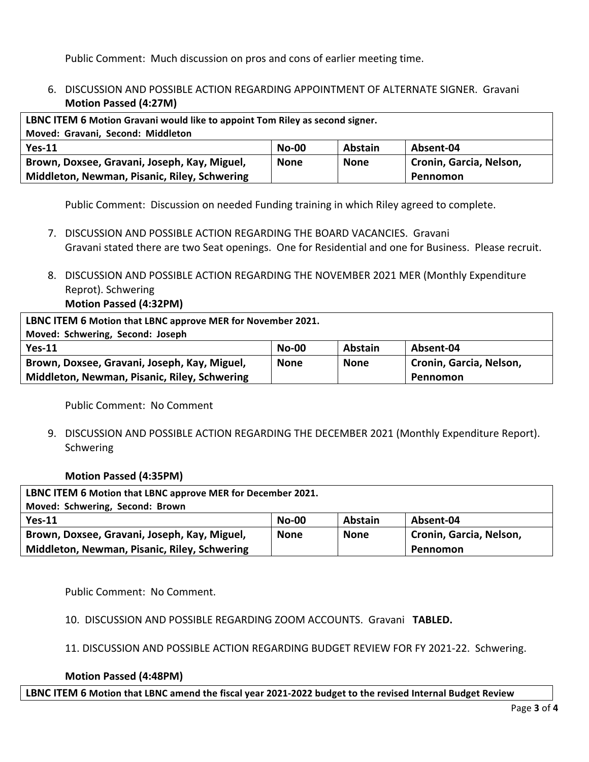Public Comment: Much discussion on pros and cons of earlier meeting time.

# 6. DISCUSSION AND POSSIBLE ACTION REGARDING APPOINTMENT OF ALTERNATE SIGNER. Gravani **Motion Passed (4:27M)**

| LBNC ITEM 6 Motion Gravani would like to appoint Tom Riley as second signer. |         |         |                         |  |
|------------------------------------------------------------------------------|---------|---------|-------------------------|--|
| Moved: Gravani, Second: Middleton                                            |         |         |                         |  |
| $Yes-11$                                                                     | $No-00$ | Abstain | Absent-04               |  |
| Brown, Doxsee, Gravani, Joseph, Kay, Miguel,                                 | None    | None    | Cronin, Garcia, Nelson, |  |
| Middleton, Newman, Pisanic, Riley, Schwering<br>Pennomon                     |         |         |                         |  |

Public Comment: Discussion on needed Funding training in which Riley agreed to complete.

- 7. DISCUSSION AND POSSIBLE ACTION REGARDING THE BOARD VACANCIES. Gravani Gravani stated there are two Seat openings. One for Residential and one for Business. Please recruit.
- 8. DISCUSSION AND POSSIBLE ACTION REGARDING THE NOVEMBER 2021 MER (Monthly Expenditure Reprot). Schwering **Motion Passed (4:32PM)**

| LBNC ITEM 6 Motion that LBNC approve MER for November 2021. |         |                |                         |  |
|-------------------------------------------------------------|---------|----------------|-------------------------|--|
| Moved: Schwering, Second: Joseph                            |         |                |                         |  |
| $Yes-11$                                                    | $No-00$ | <b>Abstain</b> | Absent-04               |  |
| Brown, Doxsee, Gravani, Joseph, Kay, Miguel,                | None    | None           | Cronin, Garcia, Nelson, |  |
| Middleton, Newman, Pisanic, Riley, Schwering                |         |                | Pennomon                |  |

Public Comment: No Comment

9. DISCUSSION AND POSSIBLE ACTION REGARDING THE DECEMBER 2021 (Monthly Expenditure Report). **Schwering** 

## **Motion Passed (4:35PM)**

| LBNC ITEM 6 Motion that LBNC approve MER for December 2021. |             |                |                         |  |
|-------------------------------------------------------------|-------------|----------------|-------------------------|--|
| Moved: Schwering, Second: Brown                             |             |                |                         |  |
| $Yes-11$                                                    | $No-00$     | <b>Abstain</b> | Absent-04               |  |
| Brown, Doxsee, Gravani, Joseph, Kay, Miguel,                | <b>None</b> | <b>None</b>    | Cronin, Garcia, Nelson, |  |
| Middleton, Newman, Pisanic, Riley, Schwering<br>Pennomon    |             |                |                         |  |

Public Comment: No Comment.

10. DISCUSSION AND POSSIBLE REGARDING ZOOM ACCOUNTS. Gravani TABLED.

11. DISCUSSION AND POSSIBLE ACTION REGARDING BUDGET REVIEW FOR FY 2021-22. Schwering.

#### **Motion Passed (4:48PM)**

LBNC ITEM 6 Motion that LBNC amend the fiscal year 2021-2022 budget to the revised Internal Budget Review